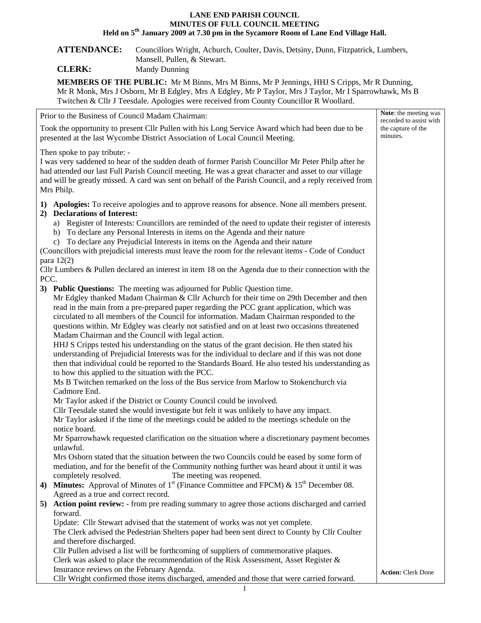## **LANE END PARISH COUNCIL MINUTES OF FULL COUNCIL MEETING Held on 5th January 2009 at 7.30 pm in the Sycamore Room of Lane End Village Hall.**

## **ATTENDANCE:** Councillors Wright, Achurch, Coulter, Davis, Detsiny, Dunn, Fitzpatrick, Lumbers, Mansell, Pullen, & Stewart.

**CLERK:** Mandy Dunning

**MEMBERS OF THE PUBLIC:** Mr M Binns, Mrs M Binns, Mr P Jennings, HHJ S Cripps, Mr R Dunning, Mr R Monk, Mrs J Osborn, Mr B Edgley, Mrs A Edgley, Mr P Taylor, Mrs J Taylor, Mr I Sparrowhawk, Ms B Twitchen & Cllr J Teesdale. Apologies were received from County Councillor R Woollard.

| Prior to the Business of Council Madam Chairman:                                                                                                                                                                                                                                                                                                                    |                                                                                                                                                                                                                                                                                                                                                                                                                                                                                                                                                                                                                                                                                                                                                                                                                                                                                                                                                                                                                                                                                                                                                                                                                                                                                    | Note: the meeting was<br>recorded to assist with |
|---------------------------------------------------------------------------------------------------------------------------------------------------------------------------------------------------------------------------------------------------------------------------------------------------------------------------------------------------------------------|------------------------------------------------------------------------------------------------------------------------------------------------------------------------------------------------------------------------------------------------------------------------------------------------------------------------------------------------------------------------------------------------------------------------------------------------------------------------------------------------------------------------------------------------------------------------------------------------------------------------------------------------------------------------------------------------------------------------------------------------------------------------------------------------------------------------------------------------------------------------------------------------------------------------------------------------------------------------------------------------------------------------------------------------------------------------------------------------------------------------------------------------------------------------------------------------------------------------------------------------------------------------------------|--------------------------------------------------|
| Took the opportunity to present Cllr Pullen with his Long Service Award which had been due to be<br>presented at the last Wycombe District Association of Local Council Meeting.                                                                                                                                                                                    |                                                                                                                                                                                                                                                                                                                                                                                                                                                                                                                                                                                                                                                                                                                                                                                                                                                                                                                                                                                                                                                                                                                                                                                                                                                                                    | the capture of the<br>minutes.                   |
| Then spoke to pay tribute: -<br>I was very saddened to hear of the sudden death of former Parish Councillor Mr Peter Philp after he<br>had attended our last Full Parish Council meeting. He was a great character and asset to our village<br>and will be greatly missed. A card was sent on behalf of the Parish Council, and a reply received from<br>Mrs Philp. |                                                                                                                                                                                                                                                                                                                                                                                                                                                                                                                                                                                                                                                                                                                                                                                                                                                                                                                                                                                                                                                                                                                                                                                                                                                                                    |                                                  |
|                                                                                                                                                                                                                                                                                                                                                                     | 1) Apologies: To receive apologies and to approve reasons for absence. None all members present.<br>2) Declarations of Interest:<br>a) Register of Interests: Councillors are reminded of the need to update their register of interests<br>b) To declare any Personal Interests in items on the Agenda and their nature<br>c) To declare any Prejudicial Interests in items on the Agenda and their nature<br>(Councillors with prejudicial interests must leave the room for the relevant items - Code of Conduct<br>para $12(2)$                                                                                                                                                                                                                                                                                                                                                                                                                                                                                                                                                                                                                                                                                                                                                |                                                  |
|                                                                                                                                                                                                                                                                                                                                                                     | Cllr Lumbers & Pullen declared an interest in item 18 on the Agenda due to their connection with the                                                                                                                                                                                                                                                                                                                                                                                                                                                                                                                                                                                                                                                                                                                                                                                                                                                                                                                                                                                                                                                                                                                                                                               |                                                  |
| PCC.                                                                                                                                                                                                                                                                                                                                                                | 3) Public Questions: The meeting was adjourned for Public Question time.<br>Mr Edgley thanked Madam Chairman & Cllr Achurch for their time on 29th December and then<br>read in the main from a pre-prepared paper regarding the PCC grant application, which was<br>circulated to all members of the Council for information. Madam Chairman responded to the<br>questions within. Mr Edgley was clearly not satisfied and on at least two occasions threatened<br>Madam Chairman and the Council with legal action.<br>HHJ S Cripps tested his understanding on the status of the grant decision. He then stated his<br>understanding of Prejudicial Interests was for the individual to declare and if this was not done<br>then that individual could be reported to the Standards Board. He also tested his understanding as<br>to how this applied to the situation with the PCC.<br>Ms B Twitchen remarked on the loss of the Bus service from Marlow to Stokenchurch via<br>Cadmore End.<br>Mr Taylor asked if the District or County Council could be involved.<br>Cllr Teesdale stated she would investigate but felt it was unlikely to have any impact.<br>Mr Taylor asked if the time of the meetings could be added to the meetings schedule on the<br>notice board. |                                                  |
|                                                                                                                                                                                                                                                                                                                                                                     | Mr Sparrowhawk requested clarification on the situation where a discretionary payment becomes<br>unlawful.<br>Mrs Osborn stated that the situation between the two Councils could be eased by some form of<br>mediation, and for the benefit of the Community nothing further was heard about it until it was<br>The meeting was reopened.<br>completely resolved.<br>4) Minutes: Approval of Minutes of $1st$ (Finance Committee and FPCM) & $15th$ December 08.                                                                                                                                                                                                                                                                                                                                                                                                                                                                                                                                                                                                                                                                                                                                                                                                                  |                                                  |
|                                                                                                                                                                                                                                                                                                                                                                     | Agreed as a true and correct record.                                                                                                                                                                                                                                                                                                                                                                                                                                                                                                                                                                                                                                                                                                                                                                                                                                                                                                                                                                                                                                                                                                                                                                                                                                               |                                                  |
| 5)                                                                                                                                                                                                                                                                                                                                                                  | Action point review: - from pre reading summary to agree those actions discharged and carried                                                                                                                                                                                                                                                                                                                                                                                                                                                                                                                                                                                                                                                                                                                                                                                                                                                                                                                                                                                                                                                                                                                                                                                      |                                                  |
|                                                                                                                                                                                                                                                                                                                                                                     | forward.<br>Update: Cllr Stewart advised that the statement of works was not yet complete.<br>The Clerk advised the Pedestrian Shelters paper had been sent direct to County by Cllr Coulter<br>and therefore discharged.<br>Cllr Pullen advised a list will be forthcoming of suppliers of commemorative plaques.<br>Clerk was asked to place the recommendation of the Risk Assessment, Asset Register $\&$                                                                                                                                                                                                                                                                                                                                                                                                                                                                                                                                                                                                                                                                                                                                                                                                                                                                      |                                                  |
|                                                                                                                                                                                                                                                                                                                                                                     | Insurance reviews on the February Agenda.<br>Cllr Wright confirmed those items discharged, amended and those that were carried forward.                                                                                                                                                                                                                                                                                                                                                                                                                                                                                                                                                                                                                                                                                                                                                                                                                                                                                                                                                                                                                                                                                                                                            | <b>Action: Clerk Done</b>                        |